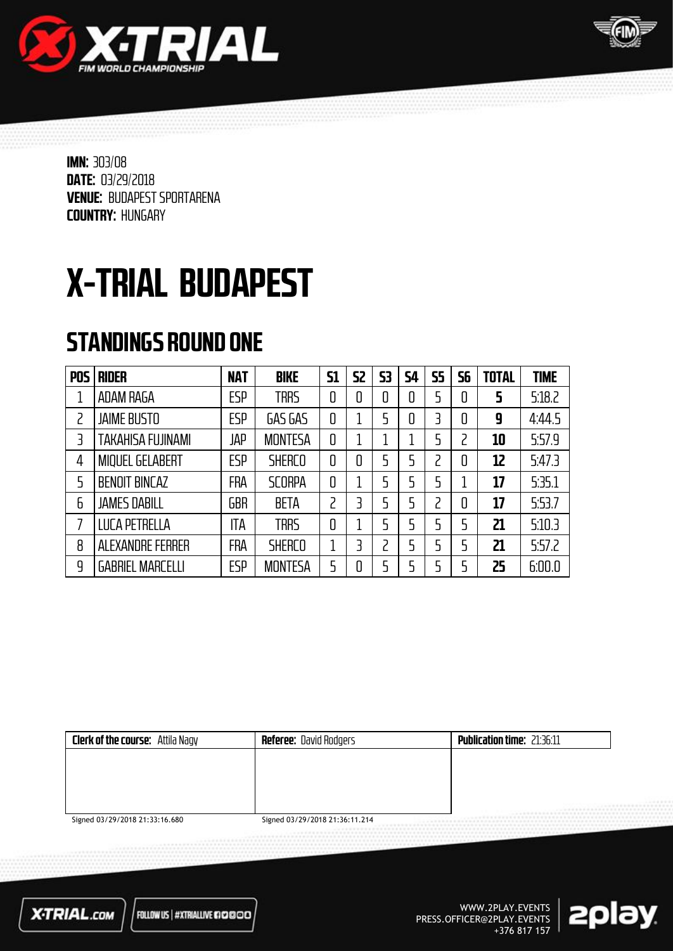



# X-TRIAL BUDAPEST

### STANDINGS ROUND ONE

| <b>POS</b> | <b>RIDER</b>             | <b>NAT</b> | <b>BIKE</b>    | <b>S1</b> | 52 | 53 | <b>S4</b> | <b>S5</b> | 56 | <b>TOTAL</b> | <b>TIME</b> |
|------------|--------------------------|------------|----------------|-----------|----|----|-----------|-----------|----|--------------|-------------|
|            | ADAM RAGA                | <b>ESP</b> | <b>TRRS</b>    | 0         | 0  | 0  | 0         | 5         | 0  | 5            | 5:18.2      |
| 2          | <b>JAIME BUSTO</b>       | <b>ESP</b> | GAS GAS        | 0         |    | 5  | 0         | 3         | 0  | 9            | 4:44.5      |
| 3          | <b>TAKAHISA FUJINAMI</b> | JAP        | <b>MONTESA</b> | 0         |    |    |           | 5         | っ  | 10           | 5.57.9      |
| 4          | <b>MIQUEL GELABERT</b>   | ESP        | <b>SHERCO</b>  | 0         | 0  | 5  | 5         | 2         | 0  | 12           | 5:47.3      |
| 5          | <b>BENOIT BINCAZ</b>     | FRA        | <b>SCORPA</b>  | 0         |    | 5  | 5         | 5         |    | 17           | 5:35.1      |
| 6          | <b>JAMES DABILL</b>      | <b>GBR</b> | <b>BETA</b>    | 2         | ₹  | 5  | 5         | ר         | 0  | 17           | 5:53.7      |
|            | <b>LUCA PETRELLA</b>     | ITA        | <b>TRRS</b>    | 0         |    | 5  | 5         | 5         | 5  | 21           | 5:10.3      |
| 8          | ALEXANDRE FERRER         | FRA        | <b>SHERCO</b>  | 1         | 3  | 2  | 5         | 5         | 5  | 21           | 5:57.2      |
| 9          | <b>GABRIEL MARCELLI</b>  | <b>ESP</b> | <b>MONTESA</b> | 5         | 0  | 5  |           | 5         | 5  | 25           | 6:00.0      |

| <b>Clerk of the course:</b> Attila Nagy | <b>Referee: David Rodgers</b>  | <b>Publication time: 21:36:11</b> |
|-----------------------------------------|--------------------------------|-----------------------------------|
|                                         |                                |                                   |
|                                         |                                |                                   |
|                                         |                                |                                   |
|                                         |                                | <br><br><br>--------------------  |
| Signed 03/29/2018 21:33:16.680          | Signed 03/29/2018 21:36:11.214 |                                   |

**X-TRIAL.com** 

FOLLOW US | #XTRIALLIVE 670000

WWW.2PLAY.EVENTS PRESS.OFFICER@2PLAY.EVENTS +376 817 157

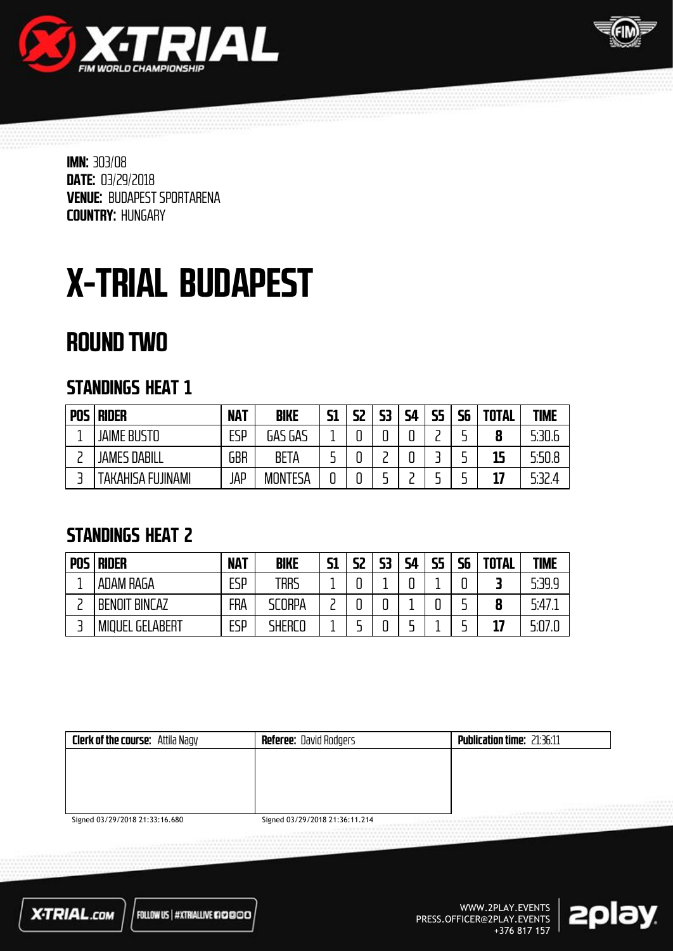



# X-TRIAL BUDAPEST

### ROUND TWO

#### STANDINGS HEAT 1

| <b>POS</b> | <b>RIDER</b>        | <b>NAT</b> | <b>BIKE</b>    | <b>S1</b> | S2 | 53 | <b>S4</b> | 55 | 56 | <b>TOTAL</b> | <b>TIME</b> |
|------------|---------------------|------------|----------------|-----------|----|----|-----------|----|----|--------------|-------------|
|            | <b>JAIME BUSTO</b>  | ESP        | GAS GAS        |           |    |    |           |    |    | 8            | 5:30.6      |
|            | <b>JAMES DABILL</b> | GBR        | BETA           |           |    |    |           |    |    | 15           | 5:50.8      |
|            | TAKAHISA FUJINAMI   | JAP        | <b>MONTESA</b> |           |    |    |           |    |    | 17           | 5:32.4      |

#### STANDINGS HEAT 2

| <b>POS</b> | <b>RIDER</b>           | <b>NAT</b> | <b>BIKE</b>   | <b>S1</b> | S2 | 53 | <b>S4</b> | <b>S5</b> | <b>S6</b> | <b>TOTAL</b> | <b>TIME</b> |
|------------|------------------------|------------|---------------|-----------|----|----|-----------|-----------|-----------|--------------|-------------|
|            | ADAM RAGA              | <b>ESP</b> | trrs          |           | o  |    | ◠         |           |           |              | 5:39.9      |
|            | <b>BENOIT BINCAZ</b>   | FRA        | <b>SCORPA</b> |           |    | u  |           |           |           | 8            | 5.47.       |
|            | <b>MIQUEL GELABERT</b> | ESP        | SHERCO        |           |    | u  |           |           |           | 17           | 5:07.0      |

| <b>Clerk of the course:</b> Attila Nagy | <b>Referee: David Rodgers</b>  | <b>Publication time: 21:36:11</b> |
|-----------------------------------------|--------------------------------|-----------------------------------|
|                                         |                                |                                   |
|                                         |                                |                                   |
|                                         |                                |                                   |
|                                         |                                | <br>.                             |
| Signed 03/29/2018 21:33:16 680          | Signed 03/29/2018 21:36:11 214 |                                   |

Signed 03/29/2018 21:33:16.680

Signed 03/29/2018 21:36:11.214



FOLLOW US | #XTRIALLIVE #10000

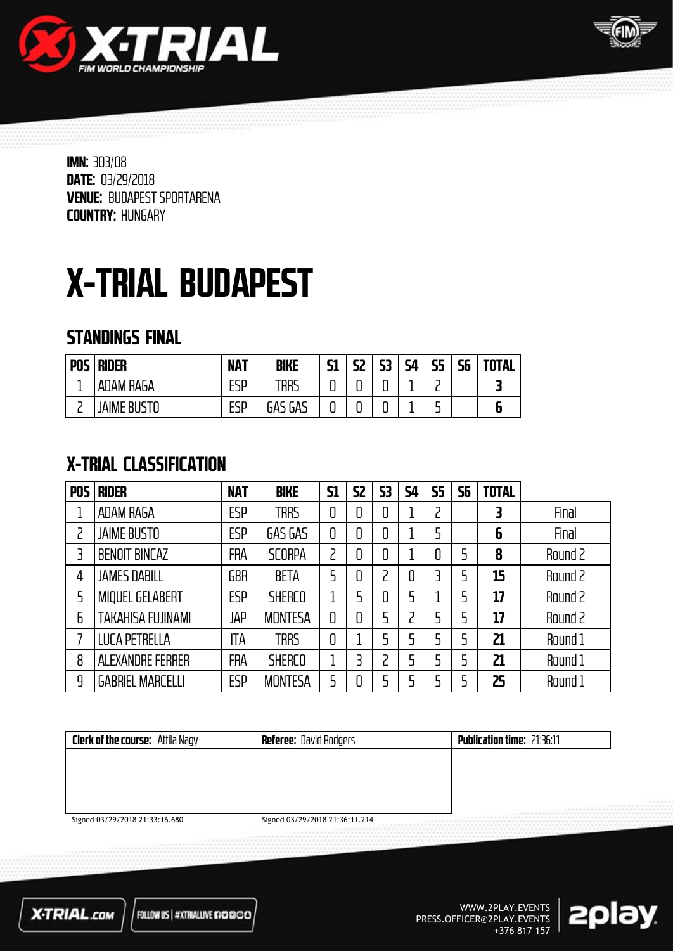



# X-TRIAL BUDAPEST

#### STANDINGS FINAL

| <b>POS</b> | <b>RIDER</b>    | <b>NAT</b> | BIKE                | гя<br>JІ | 52 | 53                       | ςд<br>╍ | 55<br>. . | 56 | <b>TOTAL</b> |
|------------|-----------------|------------|---------------------|----------|----|--------------------------|---------|-----------|----|--------------|
| - 11       | ADAM RAGA       | FCD<br>பப  | TRRS                | ◠<br>ч   | Ч  | $\overline{\phantom{0}}$ | ۰<br>-  | -         |    |              |
| -          | Jaime<br>`RIIS. | ESP        | - A C<br>GAS<br>UA` | ◠<br>ບ   | Ч  | ີ                        | -       | -<br>-    |    |              |

#### X-TRIAL CLASSIFICATION

| <b>POS</b> | <b>RIDER</b>            | <b>NAT</b> | <b>BIKE</b>    | <b>S1</b>      | <b>S2</b> | 53 | 54 | <b>S5</b> | 56 | <b>TOTAL</b> |         |
|------------|-------------------------|------------|----------------|----------------|-----------|----|----|-----------|----|--------------|---------|
|            | <b>ADAM RAGA</b>        | <b>ESP</b> | <b>TRRS</b>    | 0              | 0         | 0  |    |           |    | 3            | Final   |
| 2          | <b>JAIME BUSTO</b>      | <b>ESP</b> | GAS GAS        | 0              | 0         | 0  |    |           |    | 6            | Final   |
| 3          | <b>BENOIT BINCAZ</b>    | <b>FRA</b> | <b>SCORPA</b>  | $\overline{c}$ | 0         | 0  |    |           | 5  | 8            | Round 2 |
| 4          | <b>JAMES DABILL</b>     | GBR        | <b>BETA</b>    | 5              | 0         |    | 0  |           | 5  | 15           | Round 2 |
| 5          | <b>MIQUEL GELABERT</b>  | <b>ESP</b> | <b>SHERCO</b>  | 1              | 5         | 0  | 5  |           | 5  | 17           | Round 2 |
| 6          | TAKAHISA FUJINAMI       | JAP        | <b>MONTESA</b> | 0              | 0         | 5  |    |           | 5  | 17           | Round 2 |
| 7          | LUCA PETRELLA           | ITA        | <b>TRRS</b>    | 0              |           |    | 5  |           | 5  | 21           | Round 1 |
| 8          | <b>ALEXANDRE FERRER</b> | FRA        | <b>SHERCO</b>  | 1              | 3         |    | 5  |           | 5  | 21           | Round 1 |
| 9          | <b>GABRIEL MARCELLI</b> | <b>ESP</b> | <b>MONTESA</b> | 5              | 0         |    |    |           | 5  | 25           | Round 1 |

| <b>Clerk of the course:</b> Attila Nagy | <b>Referee:</b> David Rodgers  | <b>Publication time: 21:36:11</b>      |
|-----------------------------------------|--------------------------------|----------------------------------------|
|                                         |                                |                                        |
|                                         |                                |                                        |
|                                         |                                |                                        |
|                                         |                                | $1.1999999999999999999$<br><br><b></b> |
| Signed 03/29/2018 21:33:16.680          | Signed 03/29/2018 21:36:11.214 |                                        |

Signed 03/29/2018 21:33:16.680

Signed 03/29/2018 21:36:11.214



FOLLOW US | #XTRIALLIVE #10000

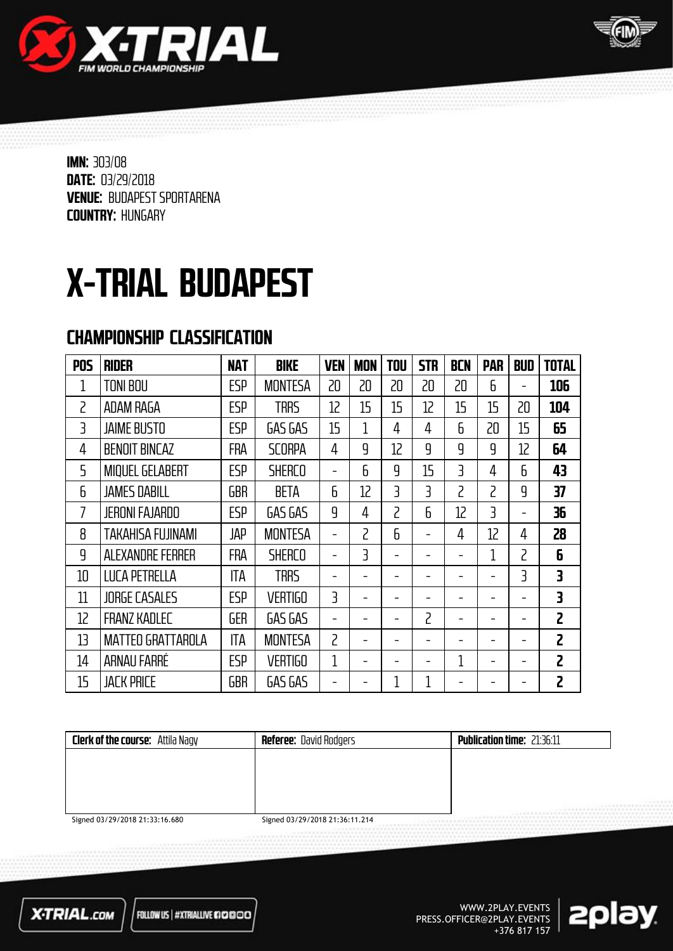



# X-TRIAL BUDAPEST

#### CHAMPIONSHIP CLASSIFICATION

| <b>POS</b>        | <b>RIDER</b>             | <b>NAT</b> | <b>BIKE</b>    | <b>VEN</b>        | <b>MON</b>        | <b>TOU</b> | <b>STR</b>        | <b>BCN</b> | <b>PAR</b> | <b>BUD</b>               | <b>TOTAL</b>   |
|-------------------|--------------------------|------------|----------------|-------------------|-------------------|------------|-------------------|------------|------------|--------------------------|----------------|
| 1                 | <b>TONI BOU</b>          | ESP        | <b>MONTESA</b> | 20                | 20                | 20         | 20                | 20         | 6          |                          | 106            |
| $\overline{c}$    | ADAM RAGA                | <b>ESP</b> | <b>TRRS</b>    | $12 \overline{ }$ | 15                | 15         | $12 \overline{ }$ | 15         | 15         | 20                       | 104            |
| $\overline{3}$    | <b>JAIME BUSTO</b>       | <b>ESP</b> | GAS GAS        | 15                | 1                 | 4          | 4                 | 6          | 20         | 15                       | 65             |
| 4                 | <b>BENOIT BINCAZ</b>     | <b>FRA</b> | <b>SCORPA</b>  | 4                 | 9                 | 12         | 9                 | q          | q          | 12                       | 64             |
| 5                 | <b>MIQUEL GELABERT</b>   | ESP        | <b>SHERCO</b>  |                   | $\mathsf{h}$      | 9          | 15                | 3          | 4          | 6                        | 43             |
| 6                 | <b>JAMES DABILL</b>      | <b>GBR</b> | <b>BETA</b>    | 6                 | $12 \overline{ }$ | 3          | 3                 | 2          | 2          | 9                        | 37             |
| 7                 | <b>JERONI FAJARDO</b>    | <b>ESP</b> | GAS GAS        | q                 | 4                 | 2          | 6                 | 12         | 3          | $\overline{\phantom{0}}$ | 36             |
| 8                 | <b>TAKAHISA FUJINAMI</b> | <b>JAP</b> | <b>MONTESA</b> |                   | 2                 | 6          |                   | 4          | 12         | 4                        | 28             |
| 9                 | ALEXANDRE FERRER         | <b>FRA</b> | <b>SHERCO</b>  |                   | 3                 |            |                   |            | 1          | 2                        | 6              |
| 10                | <b>LUCA PETRELLA</b>     | ITA        | <b>TRRS</b>    |                   |                   |            |                   |            |            | 3                        | 3              |
| 11                | <b>JORGE CASALES</b>     | <b>ESP</b> | <b>VERTIGO</b> | 3                 |                   |            |                   |            |            |                          | 3              |
| $12 \overline{ }$ | <b>FRANZ KADLEC</b>      | <b>GER</b> | GAS GAS        |                   |                   |            | 2                 |            |            |                          | $\overline{c}$ |
| 13                | <b>MATTEO GRATTAROLA</b> | <b>ITA</b> | <b>MONTESA</b> | $\overline{c}$    |                   |            |                   |            |            |                          | $\overline{c}$ |
| 14                | ARNAU FARRÉ              | ESP        | <b>VERTIGO</b> | 1                 |                   |            |                   | 1          |            |                          | 2              |
| 15                | <b>JACK PRICE</b>        | <b>GBR</b> | GAS GAS        |                   |                   | 1          | 1                 |            |            |                          | $\overline{c}$ |

| <b>Clerk of the course:</b> Attila Nagy | <b>Referee:</b> David Rodgers      | <b>Publication time: 21:36:11</b> |
|-----------------------------------------|------------------------------------|-----------------------------------|
|                                         |                                    |                                   |
|                                         |                                    |                                   |
|                                         |                                    |                                   |
|                                         |                                    | <br><b>BAADEEEEEEEEEEE</b>        |
| $Sianad$ 03/20/2018 21-33-16 680        | $Sational$ 03/20/2018 21-36-11 211 |                                   |

Signed 03/29/2018 21:33:16.680

Signed 03/29/2018 21:36:11.214



FOLLOW US | #XTRIALLIVE @@@@@